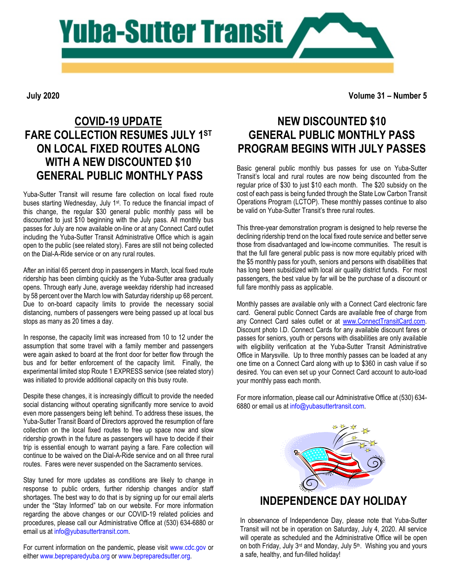

**July 2020**

**Volume 31 – Number 5**

## **COVID-19 UPDATE FARE COLLECTION RESUMES JULY 1ST ON LOCAL FIXED ROUTES ALONG WITH A NEW DISCOUNTED \$10 GENERAL PUBLIC MONTHLY PASS**

Yuba-Sutter Transit will resume fare collection on local fixed route buses starting Wednesday, July 1<sup>st</sup>. To reduce the financial impact of this change, the regular \$30 general public monthly pass will be discounted to just \$10 beginning with the July pass. All monthly bus passes for July are now available on-line or at any Connect Card outlet including the Yuba-Sutter Transit Administrative Office which is again open to the public (see related story). Fares are still not being collected on the Dial-A-Ride service or on any rural routes.

After an initial 65 percent drop in passengers in March, local fixed route ridership has been climbing quickly as the Yuba-Sutter area gradually opens. Through early June, average weekday ridership had increased by 58 percent over the March low with Saturday ridership up 68 percent. Due to on-board capacity limits to provide the necessary social distancing, numbers of passengers were being passed up at local bus stops as many as 20 times a day.

In response, the capacity limit was increased from 10 to 12 under the assumption that some travel with a family member and passengers were again asked to board at the front door for better flow through the bus and for better enforcement of the capacity limit. Finally, the experimental limited stop Route 1 EXPRESS service (see related story) was initiated to provide additional capacity on this busy route.

Despite these changes, it is increasingly difficult to provide the needed social distancing without operating significantly more service to avoid even more passengers being left behind. To address these issues, the Yuba-Sutter Transit Board of Directors approved the resumption of fare collection on the local fixed routes to free up space now and slow ridership growth in the future as passengers will have to decide if their trip is essential enough to warrant paying a fare. Fare collection will continue to be waived on the Dial-A-Ride service and on all three rural routes. Fares were never suspended on the Sacramento services.

Stay tuned for more updates as conditions are likely to change in response to public orders, further ridership changes and/or staff shortages. The best way to do that is by signing up for our email alerts under the "Stay Informed" tab on our website. For more information regarding the above changes or our COVID-19 related policies and procedures, please call our Administrative Office at (530) 634-6880 or email us a[t info@yubasuttertransit.com.](mailto:info@yubasuttertransit.com)

For current information on the pandemic, please visit [www.cdc.gov](http://www.cdc.gov/) or either [www.bepreparedyuba.org](http://www.bepreparedyuba.org/) or [www.bepreparedsutter.org.](http://www.bepreparedsutter.org/)

## **NEW DISCOUNTED \$10 GENERAL PUBLIC MONTHLY PASS PROGRAM BEGINS WITH JULY PASSES**

Basic general public monthly bus passes for use on Yuba-Sutter Transit's local and rural routes are now being discounted from the regular price of \$30 to just \$10 each month. The \$20 subsidy on the cost of each pass is being funded through the State Low Carbon Transit Operations Program (LCTOP). These monthly passes continue to also be valid on Yuba-Sutter Transit's three rural routes.

This three-year demonstration program is designed to help reverse the declining ridership trend on the local fixed route service and better serve those from disadvantaged and low-income communities. The result is that the full fare general public pass is now more equitably priced with the \$5 monthly pass for youth, seniors and persons with disabilities that has long been subsidized with local air quality district funds. For most passengers, the best value by far will be the purchase of a discount or full fare monthly pass as applicable.

Monthly passes are available only with a Connect Card electronic fare card. General public Connect Cards are available free of charge from any Connect Card sales outlet or at [www.ConnectTransitCard.com.](http://www.connecttransitcard.com/) Discount photo I.D. Connect Cards for any available discount fares or passes for seniors, youth or persons with disabilities are only available with eligibility verification at the Yuba-Sutter Transit Administrative Office in Marysville. Up to three monthly passes can be loaded at any one time on a Connect Card along with up to \$360 in cash value if so desired. You can even set up your Connect Card account to auto-load your monthly pass each month.

For more information, please call our Administrative Office at (530) 634- 6880 or email us a[t info@yubasuttertransit.com.](mailto:info@yubasuttertransit.com)



In observance of Independence Day, please note that Yuba-Sutter Transit will not be in operation on Saturday, July 4, 2020. All service will operate as scheduled and the Administrative Office will be open on both Friday, July 3<sup>rd</sup> and Monday, July 5<sup>th</sup>. Wishing you and yours a safe, healthy, and fun-filled holiday!